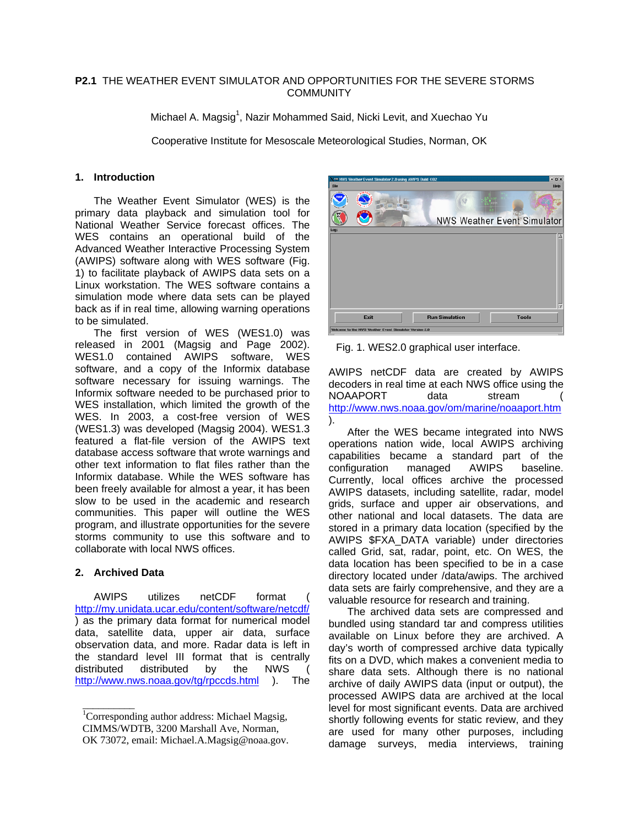### **P2.1** THE WEATHER EVENT SIMULATOR AND OPPORTUNITIES FOR THE SEVERE STORMS **COMMUNITY**

Michael A. Magsig<sup>1</sup>, Nazir Mohammed Said, Nicki Levit, and Xuechao Yu

Cooperative Institute for Mesoscale Meteorological Studies, Norman, OK

### **1. Introduction**

The Weather Event Simulator (WES) is the primary data playback and simulation tool for National Weather Service forecast offices. The WES contains an operational build of the Advanced Weather Interactive Processing System (AWIPS) software along with WES software (Fig. 1) to facilitate playback of AWIPS data sets on a Linux workstation. The WES software contains a simulation mode where data sets can be played back as if in real time, allowing warning operations to be simulated.

The first version of WES (WES1.0) was released in 2001 (Magsig and Page 2002). WES1.0 contained AWIPS software, WES software, and a copy of the Informix database software necessary for issuing warnings. The Informix software needed to be purchased prior to WES installation, which limited the growth of the WES. In 2003, a cost-free version of WES (WES1.3) was developed (Magsig 2004). WES1.3 featured a flat-file version of the AWIPS text database access software that wrote warnings and other text information to flat files rather than the Informix database. While the WES software has been freely available for almost a year, it has been slow to be used in the academic and research communities. This paper will outline the WES program, and illustrate opportunities for the severe storms community to use this software and to collaborate with local NWS offices.

# **2. Archived Data**

AWIPS utilizes netCDF format <http://my.unidata.ucar.edu/content/software/netcdf/> ) as the primary data format for numerical model data, satellite data, upper air data, surface observation data, and more. Radar data is left in the standard level III format that is centrally distributed distributed by the NWS ( <http://www.nws.noaa.gov/tg/rpccds.html> ). The



Fig. 1. WES2.0 graphical user interface.

AWIPS netCDF data are created by AWIPS decoders in real time at each NWS office using the NOAAPORT data stream <http://www.nws.noaa.gov/om/marine/noaaport.htm> ).

After the WES became integrated into NWS operations nation wide, local AWIPS archiving capabilities became a standard part of the configuration managed AWIPS baseline. Currently, local offices archive the processed AWIPS datasets, including satellite, radar, model grids, surface and upper air observations, and other national and local datasets. The data are stored in a primary data location (specified by the AWIPS \$FXA\_DATA variable) under directories called Grid, sat, radar, point, etc. On WES, the data location has been specified to be in a case directory located under /data/awips. The archived data sets are fairly comprehensive, and they are a valuable resource for research and training.

The archived data sets are compressed and bundled using standard tar and compress utilities available on Linux before they are archived. A day's worth of compressed archive data typically fits on a DVD, which makes a convenient media to share data sets. Although there is no national archive of daily AWIPS data (input or output), the processed AWIPS data are archived at the local level for most significant events. Data are archived shortly following events for static review, and they are used for many other purposes, including damage surveys, media interviews, training

<sup>1&</sup>lt;br><sup>1</sup>Corresponding author address: Michael Magsig, CIMMS/WDTB, 3200 Marshall Ave, Norman, OK 73072, email: Michael.A.Magsig@noaa.gov.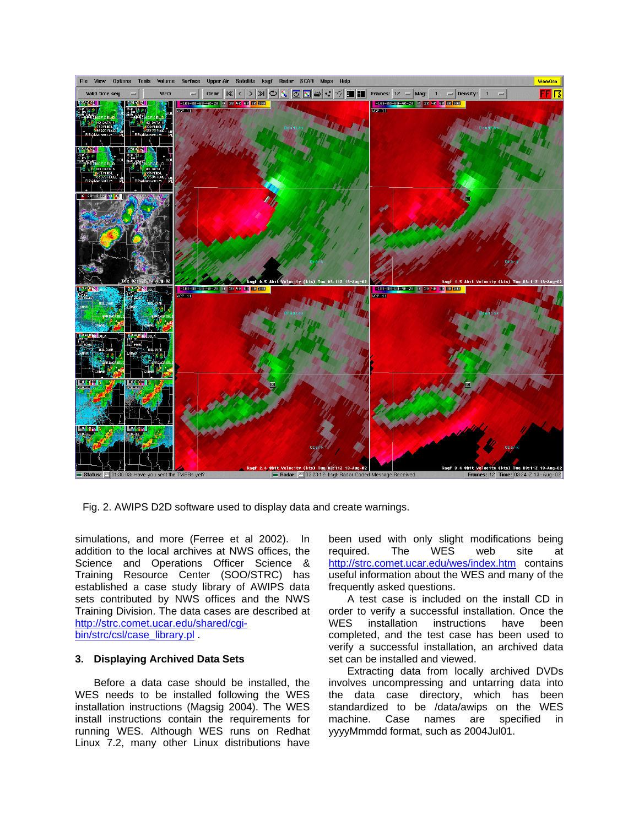

Fig. 2. AWIPS D2D software used to display data and create warnings.

simulations, and more (Ferree et al 2002). In addition to the local archives at NWS offices, the Science and Operations Officer Science & Training Resource Center (SOO/STRC) has established a case study library of AWIPS data sets contributed by NWS offices and the NWS Training Division. The data cases are described at [http://strc.comet.ucar.edu/shared/cgi](http://strc.comet.ucar.edu/shared/cgi-bin/strc/csl/case_library.pl)[bin/strc/csl/case\\_library.pl](http://strc.comet.ucar.edu/shared/cgi-bin/strc/csl/case_library.pl)

### **3. Displaying Archived Data Sets**

Before a data case should be installed, the WES needs to be installed following the WES installation instructions (Magsig 2004). The WES install instructions contain the requirements for running WES. Although WES runs on Redhat Linux 7.2, many other Linux distributions have

been used with only slight modifications being<br>
required. The WES web site at required. The WES web site at <http://strc.comet.ucar.edu/wes/index.htm>contains useful information about the WES and many of the frequently asked questions.

A test case is included on the install CD in order to verify a successful installation. Once the WES installation instructions have been completed, and the test case has been used to verify a successful installation, an archived data set can be installed and viewed.

Extracting data from locally archived DVDs involves uncompressing and untarring data into the data case directory, which has been standardized to be /data/awips on the WES machine. Case names are specified in yyyyMmmdd format, such as 2004Jul01.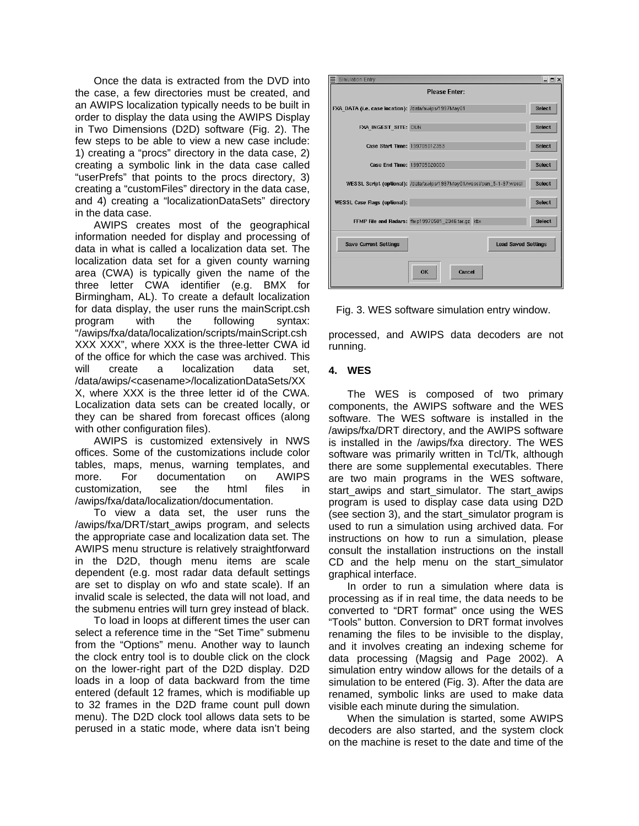Once the data is extracted from the DVD into the case, a few directories must be created, and an AWIPS localization typically needs to be built in order to display the data using the AWIPS Display in Two Dimensions (D2D) software (Fig. 2). The few steps to be able to view a new case include: 1) creating a "procs" directory in the data case, 2) creating a symbolic link in the data case called "userPrefs" that points to the procs directory, 3) creating a "customFiles" directory in the data case, and 4) creating a "localizationDataSets" directory in the data case.

AWIPS creates most of the geographical information needed for display and processing of data in what is called a localization data set. The localization data set for a given county warning area (CWA) is typically given the name of the three letter CWA identifier (e.g. BMX for Birmingham, AL). To create a default localization for data display, the user runs the mainScript.csh program with the following syntax: "/awips/fxa/data/localization/scripts/mainScript.csh XXX XXX", where XXX is the three-letter CWA id of the office for which the case was archived. This will create a localization data set. /data/awips/<casename>/localizationDataSets/XX X, where XXX is the three letter id of the CWA. Localization data sets can be created locally, or they can be shared from forecast offices (along with other configuration files).

AWIPS is customized extensively in NWS offices. Some of the customizations include color tables, maps, menus, warning templates, and more. For documentation on AWIPS customization, see the html files in /awips/fxa/data/localization/documentation.

To view a data set, the user runs the /awips/fxa/DRT/start\_awips program, and selects the appropriate case and localization data set. The AWIPS menu structure is relatively straightforward in the D2D, though menu items are scale dependent (e.g. most radar data default settings are set to display on wfo and state scale). If an invalid scale is selected, the data will not load, and the submenu entries will turn grey instead of black.

To load in loops at different times the user can select a reference time in the "Set Time" submenu from the "Options" menu. Another way to launch the clock entry tool is to double click on the clock on the lower-right part of the D2D display. D2D loads in a loop of data backward from the time entered (default 12 frames, which is modifiable up to 32 frames in the D2D frame count pull down menu). The D2D clock tool allows data sets to be perused in a static mode, where data isn't being

| <b>Simulation Entry</b>                                    |                                                                       | $  \overline{2}$ $\times$ |
|------------------------------------------------------------|-----------------------------------------------------------------------|---------------------------|
| <b>Please Enter:</b>                                       |                                                                       |                           |
| FXA_DATA (i.e. case location): /data/awips/1997May01       |                                                                       | <b>Select</b>             |
| FXA INGEST SITE: OUN                                       |                                                                       | <b>Select</b>             |
| Case Start Time: 199705012353                              |                                                                       | <b>Select</b>             |
| Case End Time: 199705020000                                |                                                                       | <b>Select</b>             |
|                                                            | WESSL Script (optional): /data/awips/1997May01Avessl/oun_5-1-97.wessl | <b>Select</b>             |
| <b>WESSL Case Flags (optional):</b>                        |                                                                       | <b>Select</b>             |
|                                                            | FFMP File and Radars: ffmp19970501_2346.tar.qz ktlx                   | <b>Select</b>             |
| <b>Load Saved Settings</b><br><b>Save Current Settings</b> |                                                                       |                           |
|                                                            | <b>OK</b><br>Cancel                                                   |                           |

Fig. 3. WES software simulation entry window.

processed, and AWIPS data decoders are not running.

# **4. WES**

The WES is composed of two primary components, the AWIPS software and the WES software. The WES software is installed in the /awips/fxa/DRT directory, and the AWIPS software is installed in the /awips/fxa directory. The WES software was primarily written in Tcl/Tk, although there are some supplemental executables. There are two main programs in the WES software, start\_awips and start\_simulator. The start\_awips program is used to display case data using D2D (see section 3), and the start\_simulator program is used to run a simulation using archived data. For instructions on how to run a simulation, please consult the installation instructions on the install CD and the help menu on the start\_simulator graphical interface.

In order to run a simulation where data is processing as if in real time, the data needs to be converted to "DRT format" once using the WES "Tools" button. Conversion to DRT format involves renaming the files to be invisible to the display, and it involves creating an indexing scheme for data processing (Magsig and Page 2002). A simulation entry window allows for the details of a simulation to be entered (Fig. 3). After the data are renamed, symbolic links are used to make data visible each minute during the simulation.

When the simulation is started, some AWIPS decoders are also started, and the system clock on the machine is reset to the date and time of the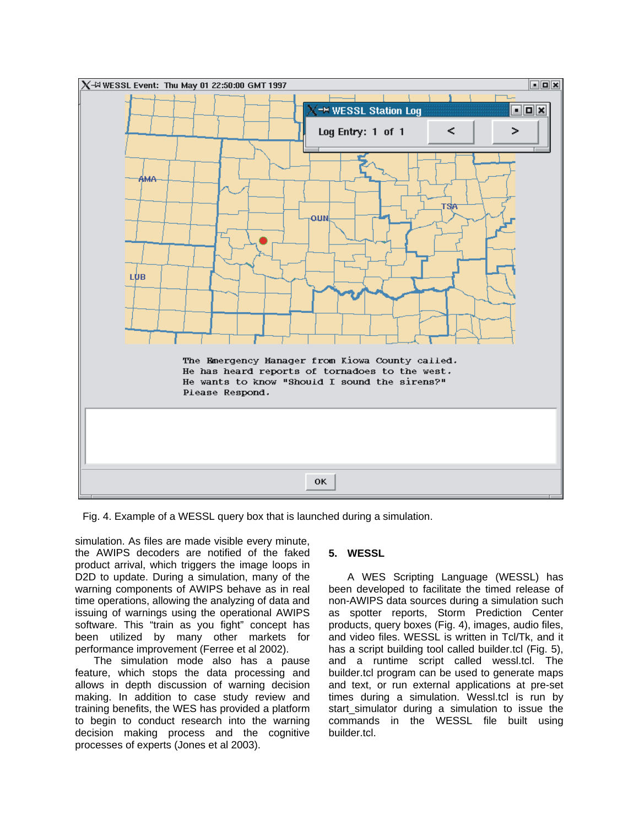

Fig. 4. Example of a WESSL query box that is launched during a simulation.

simulation. As files are made visible every minute, the AWIPS decoders are notified of the faked product arrival, which triggers the image loops in D2D to update. During a simulation, many of the warning components of AWIPS behave as in real time operations, allowing the analyzing of data and issuing of warnings using the operational AWIPS software. This "train as you fight" concept has been utilized by many other markets for performance improvement (Ferree et al 2002).

The simulation mode also has a pause feature, which stops the data processing and allows in depth discussion of warning decision making. In addition to case study review and training benefits, the WES has provided a platform to begin to conduct research into the warning decision making process and the cognitive processes of experts (Jones et al 2003).

# **5. WESSL**

A WES Scripting Language (WESSL) has been developed to facilitate the timed release of non-AWIPS data sources during a simulation such as spotter reports, Storm Prediction Center products, query boxes (Fig. 4), images, audio files, and video files. WESSL is written in Tcl/Tk, and it has a script building tool called builder.tcl (Fig. 5), and a runtime script called wessl.tcl. The builder.tcl program can be used to generate maps and text, or run external applications at pre-set times during a simulation. Wessl.tcl is run by start simulator during a simulation to issue the commands in the WESSL file built using builder.tcl.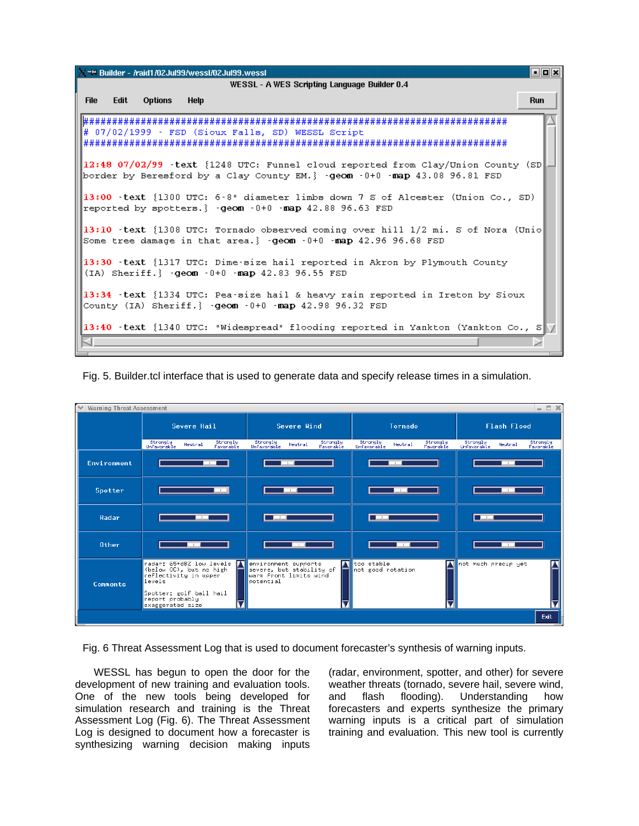**No** =M Builder - /raid1/02Jul99/wessl/02Jul99.wessl WESSL - A WES Scripting Language Builder 0.4 **File** Fdit. **Options Help Run** # 07/02/1999 - FSD (Sioux Falls, SD) WESSL Script 12:48 07/02/99 -text {1248 UTC: Funnel cloud reported from Clay/Union County (SD) border by Beresford by a Clay County EM.} -geom -0+0 -map 43.08 96.81 FSD 13:00 -text {1300 UTC: 6-8" diameter limbs down 7 S of Alcester (Union Co., SD) reported by spotters.} -geom -0+0 -map 42.88 96.63 FSD 13:10 -text {1308 UTC: Tornado observed coming over hill 1/2 mi. S of Nora (Unio Some tree damage in that area.} -geom -0+0 -map 42.96 96.68 FSD 13:30 - text {1317 UTC: Dime-size hail reported in Akron by Plymouth County (IA) Sheriff. { - qeom - 0+0 - map 42.83 96.55 FSD 13:34 - text {1334 UTC: Pea-size hail & heavy rain reported in Ireton by Sioux County (IA) Sheriff.}  $-qe$ om  $-0+0$   $-map$  42.98 96.32 FSD 13:40 -text {1340 UTC: "Widespread" flooding reported in Yankton (Yankton Co., S CI.

Fig. 5. Builder.tcl interface that is used to generate data and specify release times in a simulation.



Fig. 6 Threat Assessment Log that is used to document forecaster's synthesis of warning inputs.

WESSL has begun to open the door for the development of new training and evaluation tools. One of the new tools being developed for simulation research and training is the Threat Assessment Log (Fig. 6). The Threat Assessment Log is designed to document how a forecaster is synthesizing warning decision making inputs

(radar, environment, spotter, and other) for severe weather threats (tornado, severe hail, severe wind, and flash flooding). Understanding how forecasters and experts synthesize the primary warning inputs is a critical part of simulation training and evaluation. This new tool is currently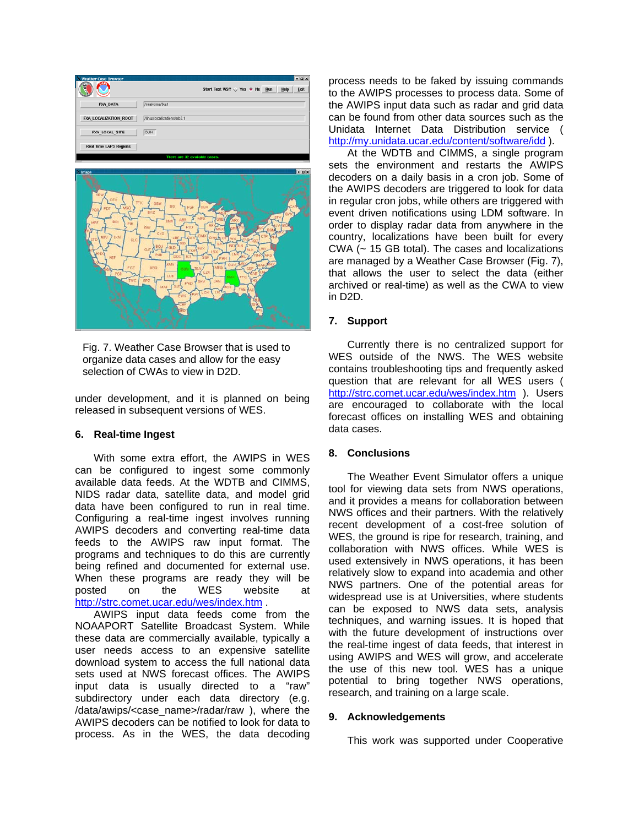| <b>Weather Case Browser</b>   | $  x$                                            |  |
|-------------------------------|--------------------------------------------------|--|
| ÷.                            | Start Text WS? √ Yes ♦ No<br>Help<br>Exit<br>Bun |  |
| <b>FXA DATA</b>               | /real-time/tka1                                  |  |
| FXA LOCALIZATION ROOT         | /linuxlocalizations/ob2.1                        |  |
| FXA LOCAL SITE                | OUN                                              |  |
| <b>Real Time LAPS Regions</b> |                                                  |  |
| There are 32 available cases. |                                                  |  |



Fig. 7. Weather Case Browser that is used to organize data cases and allow for the easy selection of CWAs to view in D2D.

under development, and it is planned on being released in subsequent versions of WES.

#### **6. Real-time Ingest**

With some extra effort, the AWIPS in WES can be configured to ingest some commonly available data feeds. At the WDTB and CIMMS, NIDS radar data, satellite data, and model grid data have been configured to run in real time. Configuring a real-time ingest involves running AWIPS decoders and converting real-time data feeds to the AWIPS raw input format. The programs and techniques to do this are currently being refined and documented for external use. When these programs are ready they will be posted on the WES website at <http://strc.comet.ucar.edu/wes/index.htm>.

AWIPS input data feeds come from the NOAAPORT Satellite Broadcast System. While these data are commercially available, typically a user needs access to an expensive satellite download system to access the full national data sets used at NWS forecast offices. The AWIPS input data is usually directed to a "raw" subdirectory under each data directory (e.g. /data/awips/<case\_name>/radar/raw ), where the AWIPS decoders can be notified to look for data to process. As in the WES, the data decoding

process needs to be faked by issuing commands to the AWIPS processes to process data. Some of the AWIPS input data such as radar and grid data can be found from other data sources such as the Unidata Internet Data Distribution service ( <http://my.unidata.ucar.edu/content/software/idd>).

At the WDTB and CIMMS, a single program sets the environment and restarts the AWIPS decoders on a daily basis in a cron job. Some of the AWIPS decoders are triggered to look for data in regular cron jobs, while others are triggered with event driven notifications using LDM software. In order to display radar data from anywhere in the country, localizations have been built for every CWA (~ 15 GB total). The cases and localizations are managed by a Weather Case Browser (Fig. 7), that allows the user to select the data (either archived or real-time) as well as the CWA to view in D2D.

### **7. Support**

Currently there is no centralized support for WES outside of the NWS. The WES website contains troubleshooting tips and frequently asked question that are relevant for all WES users ( <http://strc.comet.ucar.edu/wes/index.htm>). Users are encouraged to collaborate with the local forecast offices on installing WES and obtaining data cases.

### **8. Conclusions**

The Weather Event Simulator offers a unique tool for viewing data sets from NWS operations, and it provides a means for collaboration between NWS offices and their partners. With the relatively recent development of a cost-free solution of WES, the ground is ripe for research, training, and collaboration with NWS offices. While WES is used extensively in NWS operations, it has been relatively slow to expand into academia and other NWS partners. One of the potential areas for widespread use is at Universities, where students can be exposed to NWS data sets, analysis techniques, and warning issues. It is hoped that with the future development of instructions over the real-time ingest of data feeds, that interest in using AWIPS and WES will grow, and accelerate the use of this new tool. WES has a unique potential to bring together NWS operations, research, and training on a large scale.

### **9. Acknowledgements**

This work was supported under Cooperative